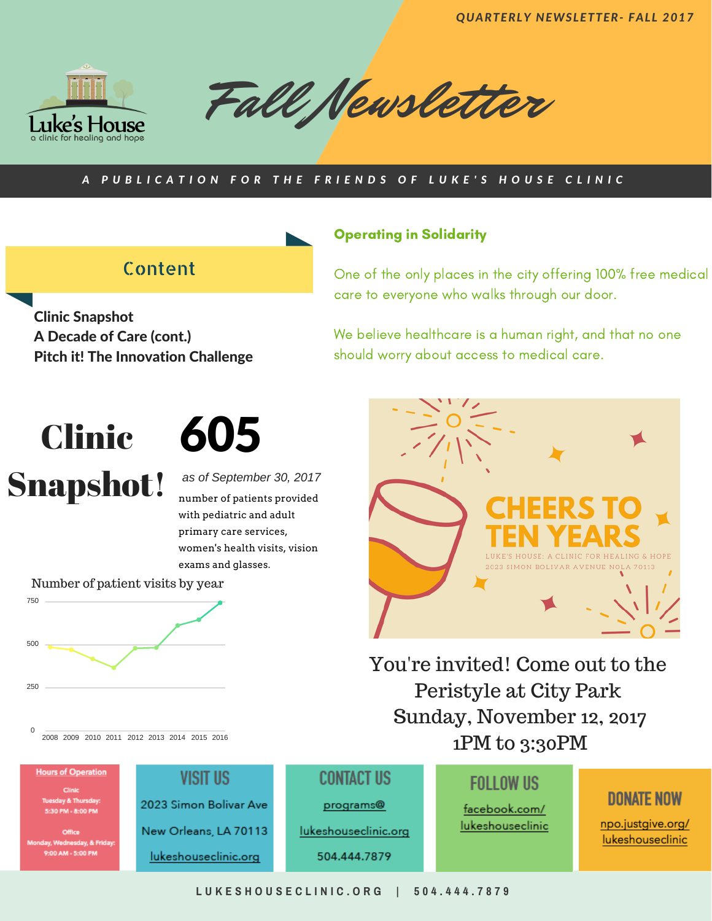*QUARTERLY NEWSLETTER- FALL 2017*



Fall Newsletter

#### A PUBLICATION FOR THE FRIENDS OF LUKE'S HOUSE CLINIC

## Content

Clinic Snapshot A Decade of Care (cont.) Pitch it! The Innovation Challenge

### Operating in Solidarity

One of the only places in the city offering 100% free medical care to everyone who walks through our door.

We believe healthcare is a human right, and that no one should worry about access to medical care.

# Clinic Snapshot!

605

*as of September 30, 2017* number of patients provided with pediatric and adult primary care services, women's health visits, vision exams and glasses.



2023 Simon Bolivar Ave 0 PM - 8:00 PM New Orleans, LA 70113 .<br>9:00 AM - 5:00 PM

lukeshouseclinic.org

**CONTACT US** 

programs<sup>®</sup>

lukeshouseclinic.org

504.444.7879

**FOLLOW US** 

facebook.com/ lukeshouseclinic

## **DONATE NOW**

npo.justgive.org/ lukeshouseclinic



You're invited! Come out to the

Peristyle at City Park

Sunday, November 12, 2017

1PM to 3:30PM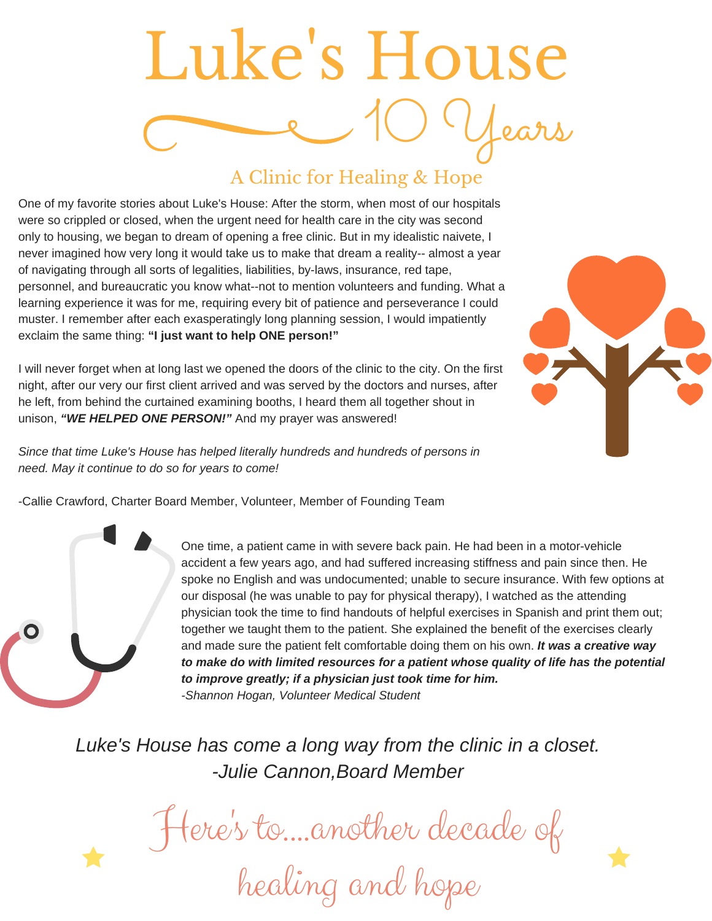# Luke 's House 10 Years

## A Clinic for Healing & Hope

One of my favorite stories about Luke's House: After the storm, when most of our hospitals were so crippled or closed, when the urgent need for health care in the city was second only to housing, we began to dream of opening a free clinic. But in my idealistic naivete, I never imagined how very long it would take us to make that dream a reality-- almost a year of navigating through all sorts of legalities, liabilities, by-laws, insurance, red tape, personnel, and bureaucratic you know what--not to mention volunteers and funding. What a learning experience it was for me, requiring every bit of patience and perseverance I could muster. I remember after each exasperatingly long planning session, I would impatiently exclaim the same thing: **"I just want to help ONE person!"**

I will never forget when at long last we opened the doors of the clinic to the city. On the first night, after our very our first client arrived and was served by the doctors and nurses, after he left, from behind the curtained examining booths, I heard them all together shout in unison, *"WE HELPED ONE PERSON!"* And my prayer was answered!

*Since that time Luke's House has helped literally hundreds and hundreds of persons in need. May it continue to do so for years to come!*

-Callie Crawford, Charter Board Member, Volunteer, Member of Founding Team

One time, a patient came in with severe back pain. He had been in a motor-vehicle accident a few years ago, and had suffered increasing stiffness and pain since then. He spoke no English and was undocumented; unable to secure insurance. With few options at our disposal (he was unable to pay for physical therapy), I watched as the attending physician took the time to find handouts of helpful exercises in Spanish and print them out; together we taught them to the patient. She explained the benefit of the exercises clearly and made sure the patient felt comfortable doing them on his own. *It was a creative way to make do with limited resources for a patient whose quality of life has the potential to improve greatly; if a physician just took time for him. -Shannon Hogan, Volunteer Medical Student*

*Luke's House has come a long way from the clinic in a closet. -Julie Cannon,Board Member*

Here 's to....another decade of

healing and hope